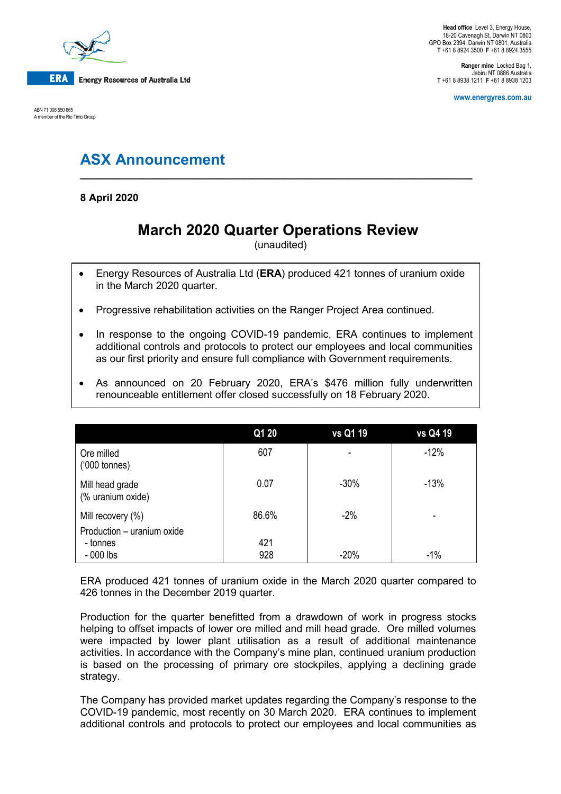

ABN 71 008 550 865 A member of the Rio Tinto Group

**Head office** Level 3, Energy House, 18-20 Cavenagh St, Darwin NT 0800 GPO Box 2394, Darwin NT 0801, Australia **T** +61 8 8924 3500 **F** +61 8 8924 3555

**Ranger mine** Locked Bag 1, Jabiru NT 0886 Australia **T** +61 8 8938 1211 **F** +61 8 8938 1203

**www.energyres.com.au**

# **ASX Announcement**

**8 April 2020**

## **March 2020 Quarter Operations Review**

**\_\_\_\_\_\_\_\_\_\_\_\_\_\_\_\_\_\_\_\_\_\_\_\_\_\_\_\_\_\_\_\_\_\_\_\_\_\_\_\_\_\_\_\_\_\_\_\_\_\_\_\_\_\_\_\_\_\_\_\_\_\_\_\_\_\_\_\_**

(unaudited)

- Energy Resources of Australia Ltd (**ERA**) produced 421 tonnes of uranium oxide in the March 2020 quarter.
- Progressive rehabilitation activities on the Ranger Project Area continued.
- In response to the ongoing COVID-19 pandemic, ERA continues to implement additional controls and protocols to protect our employees and local communities as our first priority and ensure full compliance with Government requirements.
- As announced on 20 February 2020, ERA's \$476 million fully underwritten renounceable entitlement offer closed successfully on 18 February 2020.

|                                                      | Q1 20      | vs Q1 19 | vs Q4 19 |
|------------------------------------------------------|------------|----------|----------|
| Ore milled<br>$(000 \text{ tonnes})$                 | 607        |          | $-12%$   |
| Mill head grade<br>(% uranium oxide)                 | 0.07       | $-30%$   | $-13%$   |
| Mill recovery (%)                                    | 86.6%      | $-2%$    | ۰        |
| Production - uranium oxide<br>- tonnes<br>$-000$ lbs | 421<br>928 | $-20%$   | $-1%$    |

ERA produced 421 tonnes of uranium oxide in the March 2020 quarter compared to 426 tonnes in the December 2019 quarter.

Production for the quarter benefitted from a drawdown of work in progress stocks helping to offset impacts of lower ore milled and mill head grade. Ore milled volumes were impacted by lower plant utilisation as a result of additional maintenance activities. In accordance with the Company's mine plan, continued uranium production is based on the processing of primary ore stockpiles, applying a declining grade strategy.

The Company has provided market updates regarding the Company's response to the COVID-19 pandemic, most recently on 30 March 2020. ERA continues to implement additional controls and protocols to protect our employees and local communities as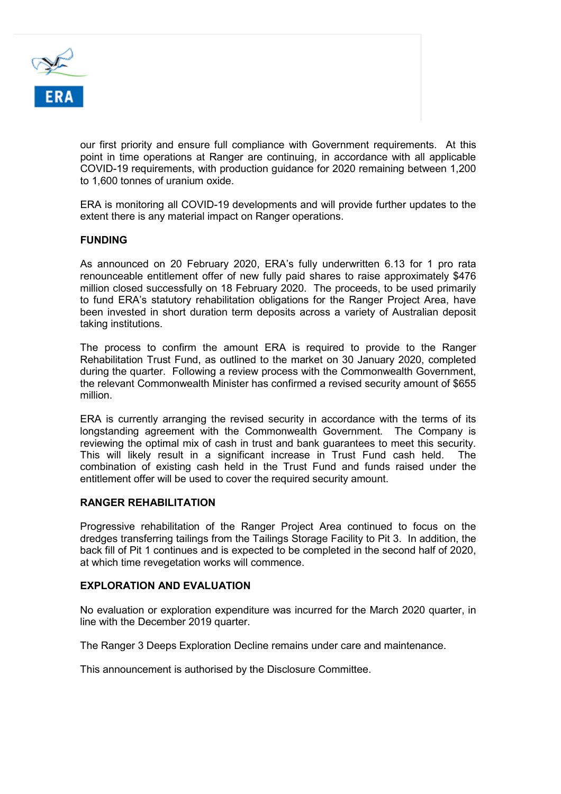

our first priority and ensure full compliance with Government requirements. At this point in time operations at Ranger are continuing, in accordance with all applicable COVID-19 requirements, with production guidance for 2020 remaining between 1,200 to 1,600 tonnes of uranium oxide.

ERA is monitoring all COVID-19 developments and will provide further updates to the extent there is any material impact on Ranger operations.

#### **FUNDING**

As announced on 20 February 2020, ERA's fully underwritten 6.13 for 1 pro rata renounceable entitlement offer of new fully paid shares to raise approximately \$476 million closed successfully on 18 February 2020. The proceeds, to be used primarily to fund ERA's statutory rehabilitation obligations for the Ranger Project Area, have been invested in short duration term deposits across a variety of Australian deposit taking institutions.

The process to confirm the amount ERA is required to provide to the Ranger Rehabilitation Trust Fund, as outlined to the market on 30 January 2020, completed during the quarter. Following a review process with the Commonwealth Government, the relevant Commonwealth Minister has confirmed a revised security amount of \$655 million.

ERA is currently arranging the revised security in accordance with the terms of its longstanding agreement with the Commonwealth Government. The Company is reviewing the optimal mix of cash in trust and bank guarantees to meet this security. This will likely result in a significant increase in Trust Fund cash held. The combination of existing cash held in the Trust Fund and funds raised under the entitlement offer will be used to cover the required security amount.

#### **RANGER REHABILITATION**

Progressive rehabilitation of the Ranger Project Area continued to focus on the dredges transferring tailings from the Tailings Storage Facility to Pit 3. In addition, the back fill of Pit 1 continues and is expected to be completed in the second half of 2020, at which time revegetation works will commence.

### **EXPLORATION AND EVALUATION**

No evaluation or exploration expenditure was incurred for the March 2020 quarter, in line with the December 2019 quarter.

The Ranger 3 Deeps Exploration Decline remains under care and maintenance.

This announcement is authorised by the Disclosure Committee.